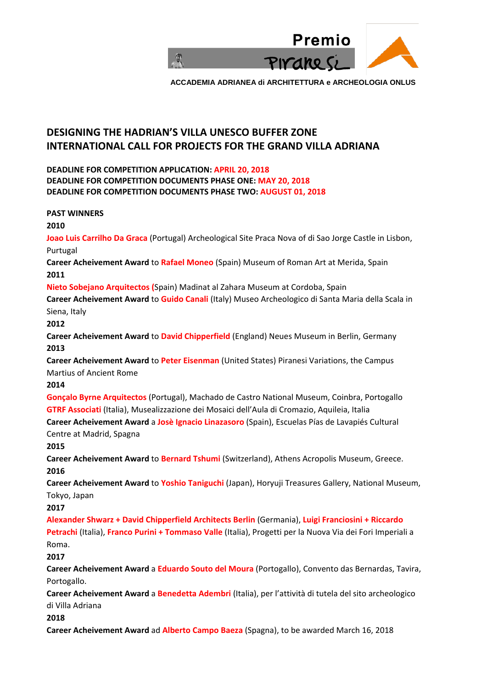

# **DESIGNING THE HADRIAN'S VILLA UNESCO BUFFER ZONE INTERNATIONAL CALL FOR PROJECTS FOR THE GRAND VILLA ADRIANA**

**DEADLINE FOR COMPETITION APPLICATION: APRIL 20, 2018 DEADLINE FOR COMPETITION DOCUMENTS PHASE ONE: MAY 20, 2018 DEADLINE FOR COMPETITION DOCUMENTS PHASE TWO: AUGUST 01, 2018**

**PAST WINNERS 2010 Joao Luis Carrilho Da Graca** (Portugal) Archeological Site Praca Nova of di Sao Jorge Castle in Lisbon, Purtugal **Career Acheivement Award** to **Rafael Moneo** (Spain) Museum of Roman Art at Merida, Spain **2011 Nieto Sobejano Arquitectos (**Spain) Madinat al Zahara Museum at Cordoba, Spain **Career Acheivement Award** to **Guido Canali** (Italy) Museo Archeologico di Santa Maria della Scala in Siena, Italy **2012 Career Acheivement Award** to **David Chipperfield** (England) Neues Museum in Berlin, Germany **2013 Career Acheivement Award** to **Peter Eisenman** (United States) Piranesi Variations, the Campus Martius of Ancient Rome **2014 Gonçalo Byrne Arquitectos** (Portugal), Machado de Castro National Museum, Coinbra, Portogallo **GTRF Associati** (Italia), Musealizzazione dei Mosaici dell'Aula di Cromazio, Aquileia, Italia **Career Acheivement Award** a **Josè Ignacio Linazasoro** (Spain), Escuelas Pías de Lavapiés Cultural Centre at Madrid, Spagna **2015 Career Acheivement Award** to **Bernard Tshumi** (Switzerland), Athens Acropolis Museum, Greece. **2016 Career Acheivement Award** to **Yoshio Taniguchi** (Japan), Horyuji Treasures Gallery, National Museum, Tokyo, Japan **2017 Alexander Shwarz + David Chipperfield Architects Berlin** (Germania), **Luigi Franciosini + Riccardo Petrachi** (Italia), **Franco Purini + Tommaso Valle** (Italia), Progetti per la Nuova Via dei Fori Imperiali a Roma. **2017 Career Acheivement Award** a **Eduardo Souto del Moura** (Portogallo), Convento das Bernardas, Tavira, Portogallo. **Career Acheivement Award** a **Benedetta Adembri** (Italia), per l'attività di tutela del sito archeologico di Villa Adriana **2018 Career Acheivement Award** ad **Alberto Campo Baeza** (Spagna), to be awarded March 16, 2018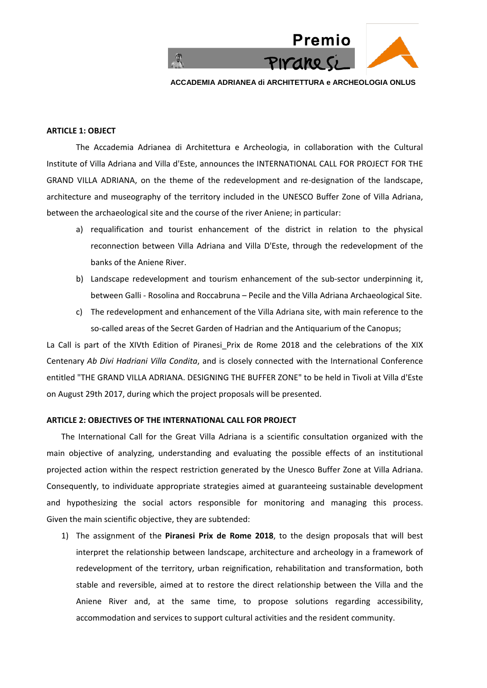

#### **ARTICLE 1: OBJECT**

The Accademia Adrianea di Architettura e Archeologia, in collaboration with the Cultural Institute of Villa Adriana and Villa d'Este, announces the INTERNATIONAL CALL FOR PROJECT FOR THE GRAND VILLA ADRIANA, on the theme of the redevelopment and re-designation of the landscape, architecture and museography of the territory included in the UNESCO Buffer Zone of Villa Adriana, between the archaeological site and the course of the river Aniene; in particular:

- a) requalification and tourist enhancement of the district in relation to the physical reconnection between Villa Adriana and Villa D'Este, through the redevelopment of the banks of the Aniene River.
- b) Landscape redevelopment and tourism enhancement of the sub-sector underpinning it, between Galli - Rosolina and Roccabruna – Pecile and the Villa Adriana Archaeological Site.
- c) The redevelopment and enhancement of the Villa Adriana site, with main reference to the so-called areas of the Secret Garden of Hadrian and the Antiquarium of the Canopus;

La Call is part of the XIVth Edition of Piranesi Prix de Rome 2018 and the celebrations of the XIX Centenary *Ab Divi Hadriani Villa Condita*, and is closely connected with the International Conference entitled "THE GRAND VILLA ADRIANA. DESIGNING THE BUFFER ZONE" to be held in Tivoli at Villa d'Este on August 29th 2017, during which the project proposals will be presented.

## **ARTICLE 2: OBJECTIVES OF THE INTERNATIONAL CALL FOR PROJECT**

The International Call for the Great Villa Adriana is a scientific consultation organized with the main objective of analyzing, understanding and evaluating the possible effects of an institutional projected action within the respect restriction generated by the Unesco Buffer Zone at Villa Adriana. Consequently, to individuate appropriate strategies aimed at guaranteeing sustainable development and hypothesizing the social actors responsible for monitoring and managing this process. Given the main scientific objective, they are subtended:

1) The assignment of the **Piranesi Prix de Rome 2018**, to the design proposals that will best interpret the relationship between landscape, architecture and archeology in a framework of redevelopment of the territory, urban reignification, rehabilitation and transformation, both stable and reversible, aimed at to restore the direct relationship between the Villa and the Aniene River and, at the same time, to propose solutions regarding accessibility, accommodation and services to support cultural activities and the resident community.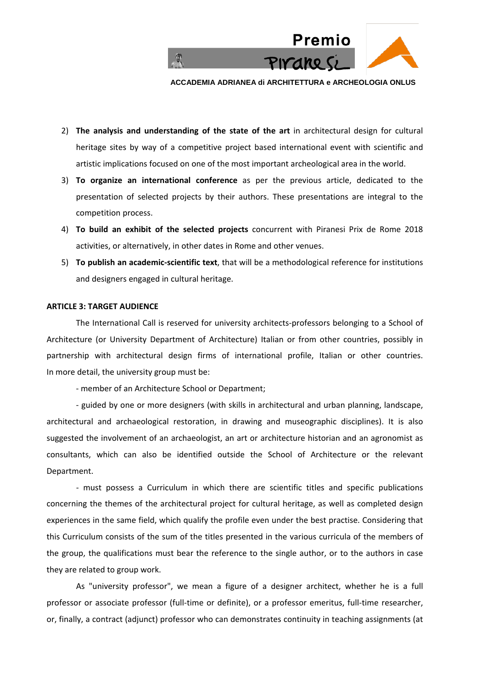

- 2) **The analysis and understanding of the state of the art** in architectural design for cultural heritage sites by way of a competitive project based international event with scientific and artistic implications focused on one of the most important archeological area in the world.
- 3) **To organize an international conference** as per the previous article, dedicated to the presentation of selected projects by their authors. These presentations are integral to the competition process.
- 4) **To build an exhibit of the selected projects** concurrent with Piranesi Prix de Rome 2018 activities, or alternatively, in other dates in Rome and other venues.
- 5) **To publish an academic-scientific text**, that will be a methodological reference for institutions and designers engaged in cultural heritage.

#### **ARTICLE 3: TARGET AUDIENCE**

The International Call is reserved for university architects-professors belonging to a School of Architecture (or University Department of Architecture) Italian or from other countries, possibly in partnership with architectural design firms of international profile, Italian or other countries. In more detail, the university group must be:

- member of an Architecture School or Department;

- guided by one or more designers (with skills in architectural and urban planning, landscape, architectural and archaeological restoration, in drawing and museographic disciplines). It is also suggested the involvement of an archaeologist, an art or architecture historian and an agronomist as consultants, which can also be identified outside the School of Architecture or the relevant Department.

- must possess a Curriculum in which there are scientific titles and specific publications concerning the themes of the architectural project for cultural heritage, as well as completed design experiences in the same field, which qualify the profile even under the best practise. Considering that this Curriculum consists of the sum of the titles presented in the various curricula of the members of the group, the qualifications must bear the reference to the single author, or to the authors in case they are related to group work.

As "university professor", we mean a figure of a designer architect, whether he is a full professor or associate professor (full-time or definite), or a professor emeritus, full-time researcher, or, finally, a contract (adjunct) professor who can demonstrates continuity in teaching assignments (at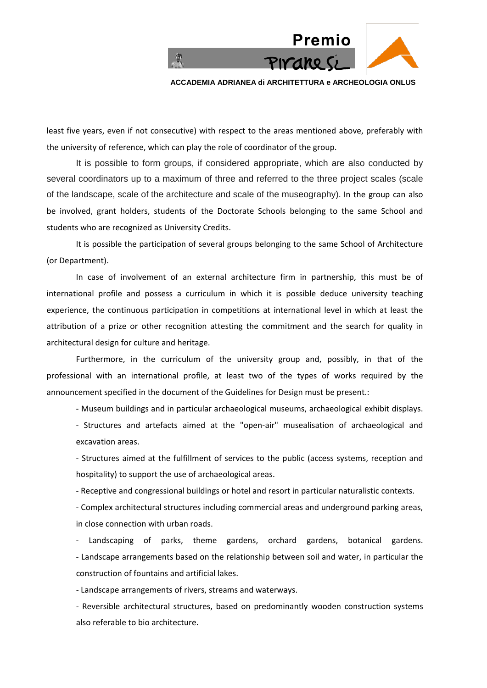

least five years, even if not consecutive) with respect to the areas mentioned above, preferably with the university of reference, which can play the role of coordinator of the group.

It is possible to form groups, if considered appropriate, which are also conducted by several coordinators up to a maximum of three and referred to the three project scales (scale of the landscape, scale of the architecture and scale of the museography). In the group can also be involved, grant holders, students of the Doctorate Schools belonging to the same School and students who are recognized as University Credits.

It is possible the participation of several groups belonging to the same School of Architecture (or Department).

In case of involvement of an external architecture firm in partnership, this must be of international profile and possess a curriculum in which it is possible deduce university teaching experience, the continuous participation in competitions at international level in which at least the attribution of a prize or other recognition attesting the commitment and the search for quality in architectural design for culture and heritage.

Furthermore, in the curriculum of the university group and, possibly, in that of the professional with an international profile, at least two of the types of works required by the announcement specified in the document of the Guidelines for Design must be present.:

- Museum buildings and in particular archaeological museums, archaeological exhibit displays.

- Structures and artefacts aimed at the "open-air" musealisation of archaeological and excavation areas.

- Structures aimed at the fulfillment of services to the public (access systems, reception and hospitality) to support the use of archaeological areas.

- Receptive and congressional buildings or hotel and resort in particular naturalistic contexts.

- Complex architectural structures including commercial areas and underground parking areas, in close connection with urban roads.

- Landscaping of parks, theme gardens, orchard gardens, botanical gardens. - Landscape arrangements based on the relationship between soil and water, in particular the construction of fountains and artificial lakes.

- Landscape arrangements of rivers, streams and waterways.

- Reversible architectural structures, based on predominantly wooden construction systems also referable to bio architecture.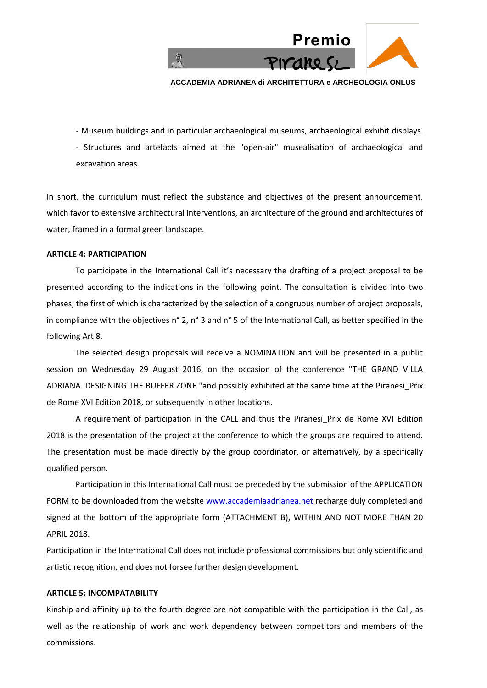

- Museum buildings and in particular archaeological museums, archaeological exhibit displays. - Structures and artefacts aimed at the "open-air" musealisation of archaeological and excavation areas.

In short, the curriculum must reflect the substance and objectives of the present announcement, which favor to extensive architectural interventions, an architecture of the ground and architectures of water, framed in a formal green landscape.

#### **ARTICLE 4: PARTICIPATION**

To participate in the International Call it's necessary the drafting of a project proposal to be presented according to the indications in the following point. The consultation is divided into two phases, the first of which is characterized by the selection of a congruous number of project proposals, in compliance with the objectives n° 2, n° 3 and n° 5 of the International Call, as better specified in the following Art 8.

The selected design proposals will receive a NOMINATION and will be presented in a public session on Wednesday 29 August 2016, on the occasion of the conference "THE GRAND VILLA ADRIANA. DESIGNING THE BUFFER ZONE "and possibly exhibited at the same time at the Piranesi\_Prix de Rome XVI Edition 2018, or subsequently in other locations.

A requirement of participation in the CALL and thus the Piranesi Prix de Rome XVI Edition 2018 is the presentation of the project at the conference to which the groups are required to attend. The presentation must be made directly by the group coordinator, or alternatively, by a specifically qualified person.

Participation in this International Call must be preceded by the submission of the APPLICATION FORM to be downloaded from the website www.accademiaadrianea.net recharge duly completed and signed at the bottom of the appropriate form (ATTACHMENT B), WITHIN AND NOT MORE THAN 20 APRIL 2018.

Participation in the International Call does not include professional commissions but only scientific and artistic recognition, and does not forsee further design development.

#### **ARTICLE 5: INCOMPATABILITY**

Kinship and affinity up to the fourth degree are not compatible with the participation in the Call, as well as the relationship of work and work dependency between competitors and members of the commissions.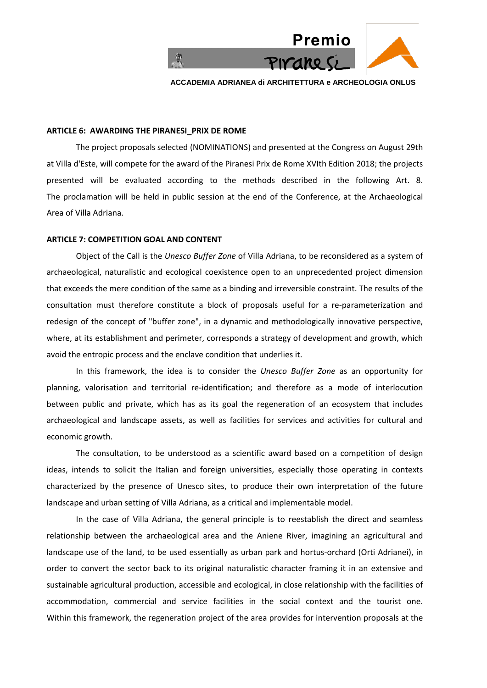

#### **ARTICLE 6: AWARDING THE PIRANESI\_PRIX DE ROME**

The project proposals selected (NOMINATIONS) and presented at the Congress on August 29th at Villa d'Este, will compete for the award of the Piranesi Prix de Rome XVIth Edition 2018; the projects presented will be evaluated according to the methods described in the following Art. 8. The proclamation will be held in public session at the end of the Conference, at the Archaeological Area of Villa Adriana.

## **ARTICLE 7: COMPETITION GOAL AND CONTENT**

Object of the Call is the *Unesco Buffer Zone* of Villa Adriana, to be reconsidered as a system of archaeological, naturalistic and ecological coexistence open to an unprecedented project dimension that exceeds the mere condition of the same as a binding and irreversible constraint. The results of the consultation must therefore constitute a block of proposals useful for a re-parameterization and redesign of the concept of "buffer zone", in a dynamic and methodologically innovative perspective, where, at its establishment and perimeter, corresponds a strategy of development and growth, which avoid the entropic process and the enclave condition that underlies it.

In this framework, the idea is to consider the *Unesco Buffer Zone* as an opportunity for planning, valorisation and territorial re-identification; and therefore as a mode of interlocution between public and private, which has as its goal the regeneration of an ecosystem that includes archaeological and landscape assets, as well as facilities for services and activities for cultural and economic growth.

The consultation, to be understood as a scientific award based on a competition of design ideas, intends to solicit the Italian and foreign universities, especially those operating in contexts characterized by the presence of Unesco sites, to produce their own interpretation of the future landscape and urban setting of Villa Adriana, as a critical and implementable model.

In the case of Villa Adriana, the general principle is to reestablish the direct and seamless relationship between the archaeological area and the Aniene River, imagining an agricultural and landscape use of the land, to be used essentially as urban park and hortus-orchard (Orti Adrianei), in order to convert the sector back to its original naturalistic character framing it in an extensive and sustainable agricultural production, accessible and ecological, in close relationship with the facilities of accommodation, commercial and service facilities in the social context and the tourist one. Within this framework, the regeneration project of the area provides for intervention proposals at the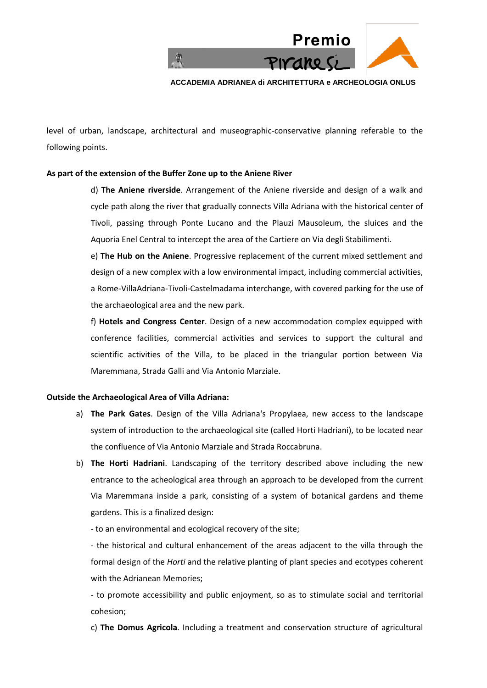

level of urban, landscape, architectural and museographic-conservative planning referable to the following points.

## **As part of the extension of the Buffer Zone up to the Aniene River**

d) **The Aniene riverside**. Arrangement of the Aniene riverside and design of a walk and cycle path along the river that gradually connects Villa Adriana with the historical center of Tivoli, passing through Ponte Lucano and the Plauzi Mausoleum, the sluices and the Aquoria Enel Central to intercept the area of the Cartiere on Via degli Stabilimenti.

e) **The Hub on the Aniene**. Progressive replacement of the current mixed settlement and design of a new complex with a low environmental impact, including commercial activities, a Rome-VillaAdriana-Tivoli-Castelmadama interchange, with covered parking for the use of the archaeological area and the new park.

f) **Hotels and Congress Center**. Design of a new accommodation complex equipped with conference facilities, commercial activities and services to support the cultural and scientific activities of the Villa, to be placed in the triangular portion between Via Maremmana, Strada Galli and Via Antonio Marziale.

## **Outside the Archaeological Area of Villa Adriana:**

- a) **The Park Gates**. Design of the Villa Adriana's Propylaea, new access to the landscape system of introduction to the archaeological site (called Horti Hadriani), to be located near the confluence of Via Antonio Marziale and Strada Roccabruna.
- b) **The Horti Hadriani**. Landscaping of the territory described above including the new entrance to the acheological area through an approach to be developed from the current Via Maremmana inside a park, consisting of a system of botanical gardens and theme gardens. This is a finalized design:

- to an environmental and ecological recovery of the site;

- the historical and cultural enhancement of the areas adjacent to the villa through the formal design of the *Horti* and the relative planting of plant species and ecotypes coherent with the Adrianean Memories;

- to promote accessibility and public enjoyment, so as to stimulate social and territorial cohesion;

c) **The Domus Agricola**. Including a treatment and conservation structure of agricultural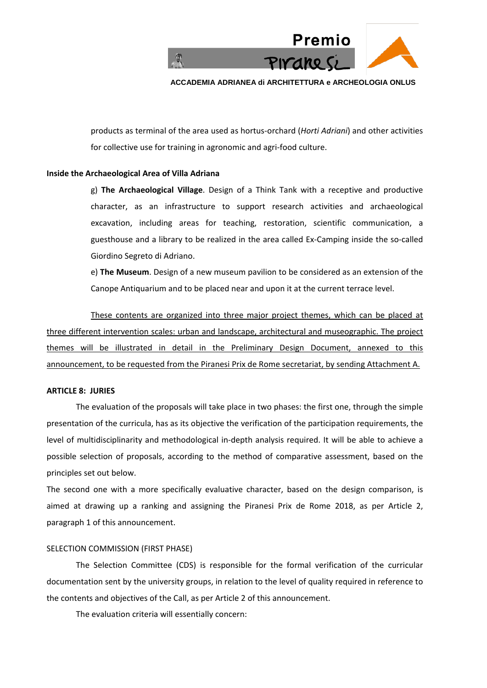

products as terminal of the area used as hortus-orchard (*Horti Adriani*) and other activities for collective use for training in agronomic and agri-food culture.

## **Inside the Archaeological Area of Villa Adriana**

g) **The Archaeological Village**. Design of a Think Tank with a receptive and productive character, as an infrastructure to support research activities and archaeological excavation, including areas for teaching, restoration, scientific communication, a guesthouse and a library to be realized in the area called Ex-Camping inside the so-called Giordino Segreto di Adriano.

e) **The Museum**. Design of a new museum pavilion to be considered as an extension of the Canope Antiquarium and to be placed near and upon it at the current terrace level.

These contents are organized into three major project themes, which can be placed at three different intervention scales: urban and landscape, architectural and museographic. The project themes will be illustrated in detail in the Preliminary Design Document, annexed to this announcement, to be requested from the Piranesi Prix de Rome secretariat, by sending Attachment A.

# **ARTICLE 8: JURIES**

The evaluation of the proposals will take place in two phases: the first one, through the simple presentation of the curricula, has as its objective the verification of the participation requirements, the level of multidisciplinarity and methodological in-depth analysis required. It will be able to achieve a possible selection of proposals, according to the method of comparative assessment, based on the principles set out below.

The second one with a more specifically evaluative character, based on the design comparison, is aimed at drawing up a ranking and assigning the Piranesi Prix de Rome 2018, as per Article 2, paragraph 1 of this announcement.

#### SELECTION COMMISSION (FIRST PHASE)

The Selection Committee (CDS) is responsible for the formal verification of the curricular documentation sent by the university groups, in relation to the level of quality required in reference to the contents and objectives of the Call, as per Article 2 of this announcement.

The evaluation criteria will essentially concern: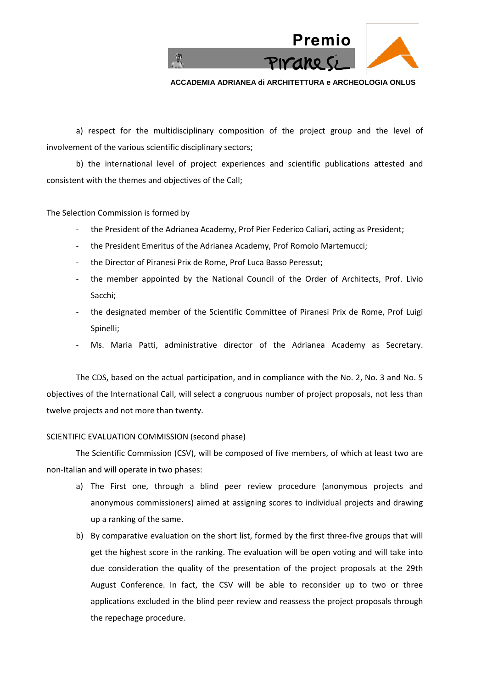

a) respect for the multidisciplinary composition of the project group and the level of involvement of the various scientific disciplinary sectors;

b) the international level of project experiences and scientific publications attested and consistent with the themes and objectives of the Call;

The Selection Commission is formed by

- the President of the Adrianea Academy, Prof Pier Federico Caliari, acting as President;
- the President Emeritus of the Adrianea Academy, Prof Romolo Martemucci;
- the Director of Piranesi Prix de Rome, Prof Luca Basso Peressut;
- the member appointed by the National Council of the Order of Architects, Prof. Livio Sacchi;
- the designated member of the Scientific Committee of Piranesi Prix de Rome, Prof Luigi Spinelli;
- Ms. Maria Patti, administrative director of the Adrianea Academy as Secretary.

The CDS, based on the actual participation, and in compliance with the No. 2, No. 3 and No. 5 objectives of the International Call, will select a congruous number of project proposals, not less than twelve projects and not more than twenty.

## SCIENTIFIC EVALUATION COMMISSION (second phase)

The Scientific Commission (CSV), will be composed of five members, of which at least two are non-Italian and will operate in two phases:

- a) The First one, through a blind peer review procedure (anonymous projects and anonymous commissioners) aimed at assigning scores to individual projects and drawing up a ranking of the same.
- b) By comparative evaluation on the short list, formed by the first three-five groups that will get the highest score in the ranking. The evaluation will be open voting and will take into due consideration the quality of the presentation of the project proposals at the 29th August Conference. In fact, the CSV will be able to reconsider up to two or three applications excluded in the blind peer review and reassess the project proposals through the repechage procedure.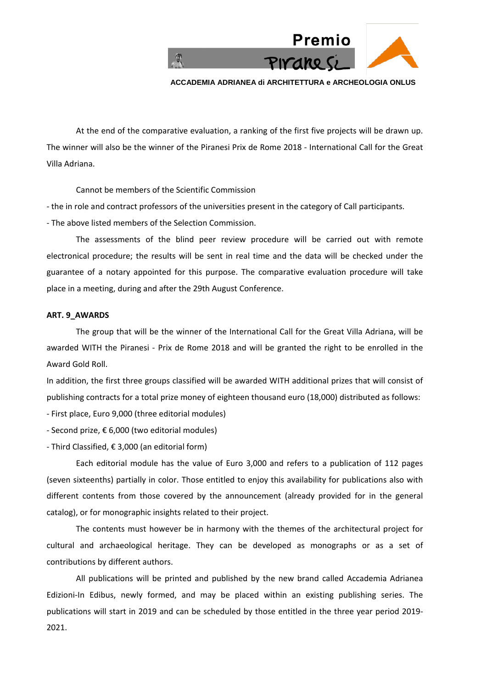

At the end of the comparative evaluation, a ranking of the first five projects will be drawn up. The winner will also be the winner of the Piranesi Prix de Rome 2018 - International Call for the Great Villa Adriana.

Cannot be members of the Scientific Commission

- the in role and contract professors of the universities present in the category of Call participants.

- The above listed members of the Selection Commission.

The assessments of the blind peer review procedure will be carried out with remote electronical procedure; the results will be sent in real time and the data will be checked under the guarantee of a notary appointed for this purpose. The comparative evaluation procedure will take place in a meeting, during and after the 29th August Conference.

## **ART. 9\_AWARDS**

The group that will be the winner of the International Call for the Great Villa Adriana, will be awarded WITH the Piranesi - Prix de Rome 2018 and will be granted the right to be enrolled in the Award Gold Roll.

In addition, the first three groups classified will be awarded WITH additional prizes that will consist of publishing contracts for a total prize money of eighteen thousand euro (18,000) distributed as follows:

- First place, Euro 9,000 (three editorial modules)

- Second prize, € 6,000 (two editorial modules)

- Third Classified, € 3,000 (an editorial form)

Each editorial module has the value of Euro 3,000 and refers to a publication of 112 pages (seven sixteenths) partially in color. Those entitled to enjoy this availability for publications also with different contents from those covered by the announcement (already provided for in the general catalog), or for monographic insights related to their project.

The contents must however be in harmony with the themes of the architectural project for cultural and archaeological heritage. They can be developed as monographs or as a set of contributions by different authors.

All publications will be printed and published by the new brand called Accademia Adrianea Edizioni-In Edibus, newly formed, and may be placed within an existing publishing series. The publications will start in 2019 and can be scheduled by those entitled in the three year period 2019- 2021.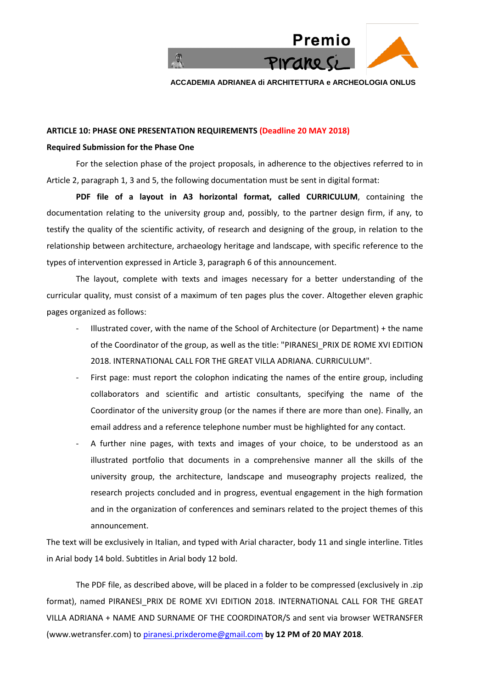

## **ARTICLE 10: PHASE ONE PRESENTATION REQUIREMENTS (Deadline 20 MAY 2018)**

# **Required Submission for the Phase One**

For the selection phase of the project proposals, in adherence to the objectives referred to in Article 2, paragraph 1, 3 and 5, the following documentation must be sent in digital format:

**PDF file of a layout in A3 horizontal format, called CURRICULUM**, containing the documentation relating to the university group and, possibly, to the partner design firm, if any, to testify the quality of the scientific activity, of research and designing of the group, in relation to the relationship between architecture, archaeology heritage and landscape, with specific reference to the types of intervention expressed in Article 3, paragraph 6 of this announcement.

The layout, complete with texts and images necessary for a better understanding of the curricular quality, must consist of a maximum of ten pages plus the cover. Altogether eleven graphic pages organized as follows:

- Illustrated cover, with the name of the School of Architecture (or Department) + the name of the Coordinator of the group, as well as the title: "PIRANESI\_PRIX DE ROME XVI EDITION 2018. INTERNATIONAL CALL FOR THE GREAT VILLA ADRIANA. CURRICULUM".
- First page: must report the colophon indicating the names of the entire group, including collaborators and scientific and artistic consultants, specifying the name of the Coordinator of the university group (or the names if there are more than one). Finally, an email address and a reference telephone number must be highlighted for any contact.
- A further nine pages, with texts and images of your choice, to be understood as an illustrated portfolio that documents in a comprehensive manner all the skills of the university group, the architecture, landscape and museography projects realized, the research projects concluded and in progress, eventual engagement in the high formation and in the organization of conferences and seminars related to the project themes of this announcement.

The text will be exclusively in Italian, and typed with Arial character, body 11 and single interline. Titles in Arial body 14 bold. Subtitles in Arial body 12 bold.

The PDF file, as described above, will be placed in a folder to be compressed (exclusively in .zip format), named PIRANESI\_PRIX DE ROME XVI EDITION 2018. INTERNATIONAL CALL FOR THE GREAT VILLA ADRIANA + NAME AND SURNAME OF THE COORDINATOR/S and sent via browser WETRANSFER (www.wetransfer.com) to piranesi.prixderome@gmail.com **by 12 PM of 20 MAY 2018**.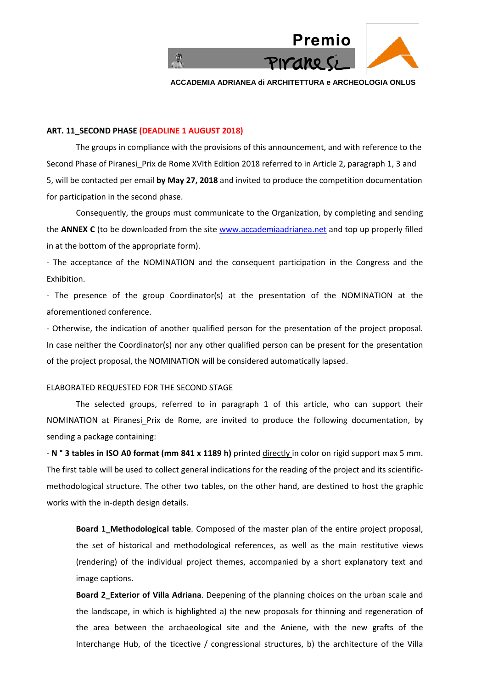

#### **ART. 11\_SECOND PHASE (DEADLINE 1 AUGUST 2018)**

The groups in compliance with the provisions of this announcement, and with reference to the Second Phase of Piranesi Prix de Rome XVIth Edition 2018 referred to in Article 2, paragraph 1, 3 and 5, will be contacted per email **by May 27, 2018** and invited to produce the competition documentation for participation in the second phase.

Consequently, the groups must communicate to the Organization, by completing and sending the **ANNEX C** (to be downloaded from the site www.accademiaadrianea.net and top up properly filled in at the bottom of the appropriate form).

- The acceptance of the NOMINATION and the consequent participation in the Congress and the Exhibition.

- The presence of the group Coordinator(s) at the presentation of the NOMINATION at the aforementioned conference.

- Otherwise, the indication of another qualified person for the presentation of the project proposal. In case neither the Coordinator(s) nor any other qualified person can be present for the presentation of the project proposal, the NOMINATION will be considered automatically lapsed.

#### ELABORATED REQUESTED FOR THE SECOND STAGE

The selected groups, referred to in paragraph 1 of this article, who can support their NOMINATION at Piranesi Prix de Rome, are invited to produce the following documentation, by sending a package containing:

- **N** ° 3 tables in ISO A0 format (mm 841 x 1189 h) printed directly in color on rigid support max 5 mm. The first table will be used to collect general indications for the reading of the project and its scientificmethodological structure. The other two tables, on the other hand, are destined to host the graphic works with the in-depth design details.

**Board 1\_Methodological table**. Composed of the master plan of the entire project proposal, the set of historical and methodological references, as well as the main restitutive views (rendering) of the individual project themes, accompanied by a short explanatory text and image captions.

**Board 2\_Exterior of Villa Adriana**. Deepening of the planning choices on the urban scale and the landscape, in which is highlighted a) the new proposals for thinning and regeneration of the area between the archaeological site and the Aniene, with the new grafts of the Interchange Hub, of the ticective / congressional structures, b) the architecture of the Villa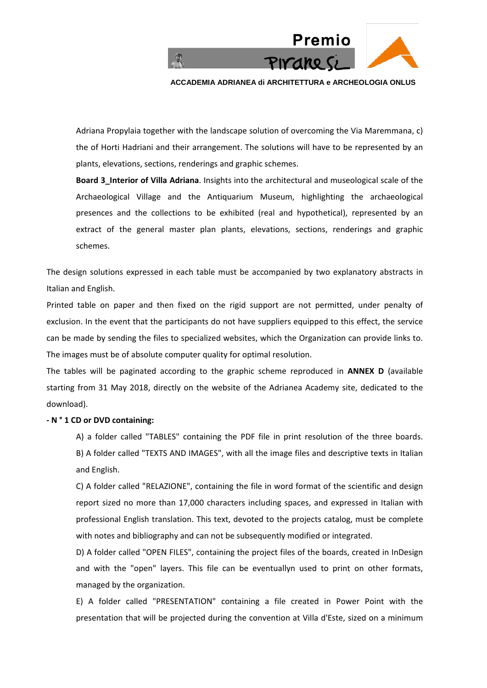

Adriana Propylaia together with the landscape solution of overcoming the Via Maremmana, c) the of Horti Hadriani and their arrangement. The solutions will have to be represented by an plants, elevations, sections, renderings and graphic schemes.

**Board 3\_Interior of Villa Adriana**. Insights into the architectural and museological scale of the Archaeological Village and the Antiquarium Museum, highlighting the archaeological presences and the collections to be exhibited (real and hypothetical), represented by an extract of the general master plan plants, elevations, sections, renderings and graphic schemes.

The design solutions expressed in each table must be accompanied by two explanatory abstracts in Italian and English.

Printed table on paper and then fixed on the rigid support are not permitted, under penalty of exclusion. In the event that the participants do not have suppliers equipped to this effect, the service can be made by sending the files to specialized websites, which the Organization can provide links to. The images must be of absolute computer quality for optimal resolution.

The tables will be paginated according to the graphic scheme reproduced in **ANNEX D** (available starting from 31 May 2018, directly on the website of the Adrianea Academy site, dedicated to the download).

## **- N ° 1 CD or DVD containing:**

A) a folder called "TABLES" containing the PDF file in print resolution of the three boards. B) A folder called "TEXTS AND IMAGES", with all the image files and descriptive texts in Italian and English.

C) A folder called "RELAZIONE", containing the file in word format of the scientific and design report sized no more than 17,000 characters including spaces, and expressed in Italian with professional English translation. This text, devoted to the projects catalog, must be complete with notes and bibliography and can not be subsequently modified or integrated.

D) A folder called "OPEN FILES", containing the project files of the boards, created in InDesign and with the "open" layers. This file can be eventuallyn used to print on other formats, managed by the organization.

E) A folder called "PRESENTATION" containing a file created in Power Point with the presentation that will be projected during the convention at Villa d'Este, sized on a minimum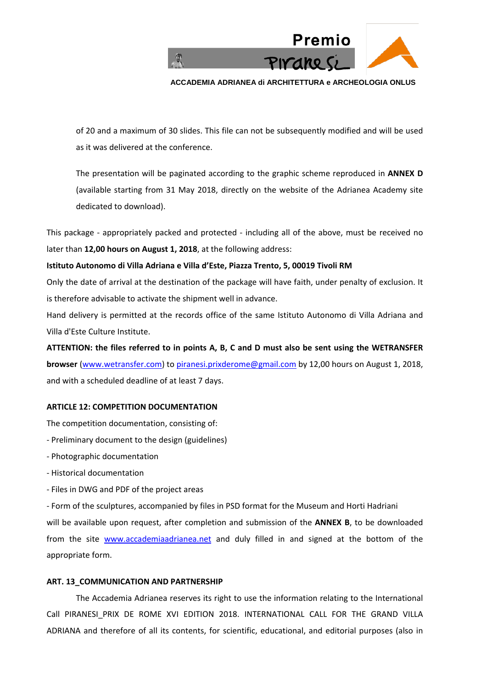

of 20 and a maximum of 30 slides. This file can not be subsequently modified and will be used as it was delivered at the conference.

The presentation will be paginated according to the graphic scheme reproduced in **ANNEX D** (available starting from 31 May 2018, directly on the website of the Adrianea Academy site dedicated to download).

This package - appropriately packed and protected - including all of the above, must be received no later than **12,00 hours on August 1, 2018**, at the following address:

# **Istituto Autonomo di Villa Adriana e Villa d'Este, Piazza Trento, 5, 00019 Tivoli RM**

Only the date of arrival at the destination of the package will have faith, under penalty of exclusion. It is therefore advisable to activate the shipment well in advance.

Hand delivery is permitted at the records office of the same Istituto Autonomo di Villa Adriana and Villa d'Este Culture Institute.

**ATTENTION: the files referred to in points A, B, C and D must also be sent using the WETRANSFER browser** (www.wetransfer.com) to [piranesi.prixderome@gmail.com](mailto:piranesi.prixderome@gmail.com) by 12,00 hours on August 1, 2018, and with a scheduled deadline of at least 7 days.

# **ARTICLE 12: COMPETITION DOCUMENTATION**

The competition documentation, consisting of:

- Preliminary document to the design (guidelines)
- Photographic documentation
- Historical documentation
- Files in DWG and PDF of the project areas

- Form of the sculptures, accompanied by files in PSD format for the Museum and Horti Hadriani will be available upon request, after completion and submission of the **ANNEX B**, to be downloaded from the site www.accademiaadrianea.net and duly filled in and signed at the bottom of the appropriate form.

## **ART. 13\_COMMUNICATION AND PARTNERSHIP**

The Accademia Adrianea reserves its right to use the information relating to the International Call PIRANESI PRIX DE ROME XVI EDITION 2018. INTERNATIONAL CALL FOR THE GRAND VILLA ADRIANA and therefore of all its contents, for scientific, educational, and editorial purposes (also in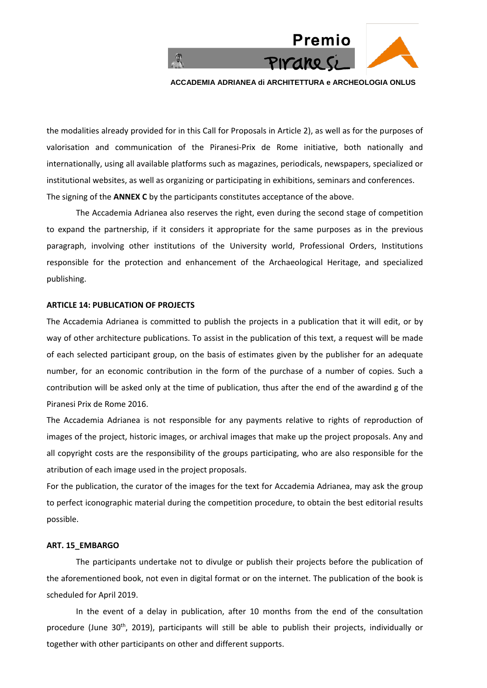

the modalities already provided for in this Call for Proposals in Article 2), as well as for the purposes of valorisation and communication of the Piranesi-Prix de Rome initiative, both nationally and internationally, using all available platforms such as magazines, periodicals, newspapers, specialized or institutional websites, as well as organizing or participating in exhibitions, seminars and conferences. The signing of the **ANNEX C** by the participants constitutes acceptance of the above.

The Accademia Adrianea also reserves the right, even during the second stage of competition to expand the partnership, if it considers it appropriate for the same purposes as in the previous paragraph, involving other institutions of the University world, Professional Orders, Institutions responsible for the protection and enhancement of the Archaeological Heritage, and specialized publishing.

#### **ARTICLE 14: PUBLICATION OF PROJECTS**

The Accademia Adrianea is committed to publish the projects in a publication that it will edit, or by way of other architecture publications. To assist in the publication of this text, a request will be made of each selected participant group, on the basis of estimates given by the publisher for an adequate number, for an economic contribution in the form of the purchase of a number of copies. Such a contribution will be asked only at the time of publication, thus after the end of the awardind g of the Piranesi Prix de Rome 2016.

The Accademia Adrianea is not responsible for any payments relative to rights of reproduction of images of the project, historic images, or archival images that make up the project proposals. Any and all copyright costs are the responsibility of the groups participating, who are also responsible for the atribution of each image used in the project proposals.

For the publication, the curator of the images for the text for Accademia Adrianea, may ask the group to perfect iconographic material during the competition procedure, to obtain the best editorial results possible.

## **ART. 15\_EMBARGO**

The participants undertake not to divulge or publish their projects before the publication of the aforementioned book, not even in digital format or on the internet. The publication of the book is scheduled for April 2019.

In the event of a delay in publication, after 10 months from the end of the consultation procedure (June 30<sup>th</sup>, 2019), participants will still be able to publish their projects, individually or together with other participants on other and different supports.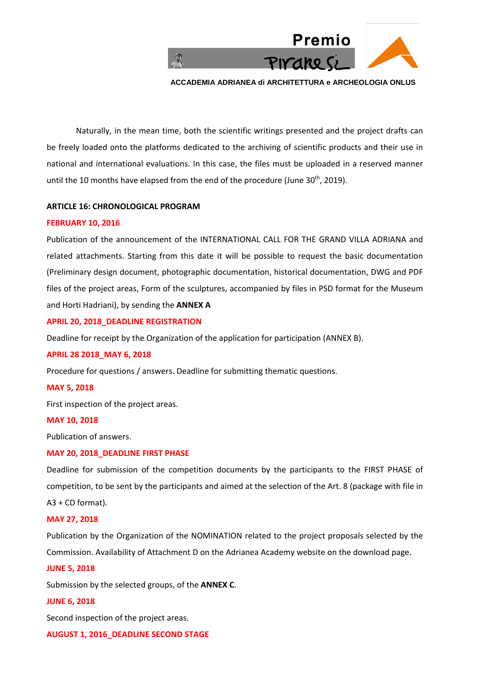

Naturally, in the mean time, both the scientific writings presented and the project drafts can be freely loaded onto the platforms dedicated to the archiving of scientific products and their use in national and international evaluations. In this case, the files must be uploaded in a reserved manner until the 10 months have elapsed from the end of the procedure (June 30<sup>th</sup>, 2019).

## **ARTICLE 16: CHRONOLOGICAL PROGRAM**

#### **FEBRUARY 10, 2016**

Publication of the announcement of the INTERNATIONAL CALL FOR THE GRAND VILLA ADRIANA and related attachments. Starting from this date it will be possible to request the basic documentation (Preliminary design document, photographic documentation, historical documentation, DWG and PDF files of the project areas, Form of the sculptures, accompanied by files in PSD format for the Museum and Horti Hadriani), by sending the **ANNEX A**

#### **APRIL 20, 2018\_DEADLINE REGISTRATION**

Deadline for receipt by the Organization of the application for participation (ANNEX B).

#### **APRIL 28 2018\_MAY 6, 2018**

Procedure for questions / answers. Deadline for submitting thematic questions.

#### **MAY 5, 2018**

First inspection of the project areas.

#### **MAY 10, 2018**

Publication of answers.

#### **MAY 20, 2018\_DEADLINE FIRST PHASE**

Deadline for submission of the competition documents by the participants to the FIRST PHASE of competition, to be sent by the participants and aimed at the selection of the Art. 8 (package with file in A3 + CD format).

#### **MAY 27, 2018**

Publication by the Organization of the NOMINATION related to the project proposals selected by the Commission. Availability of Attachment D on the Adrianea Academy website on the download page.

#### **JUNE 5, 2018**

Submission by the selected groups, of the **ANNEX C**.

#### **JUNE 6, 2018**

Second inspection of the project areas.

**AUGUST 1, 2016\_DEADLINE SECOND STAGE**